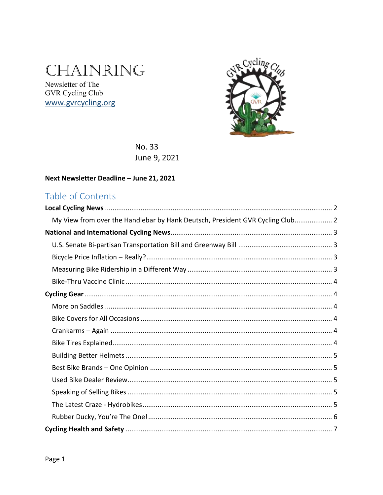# CHAINRING

Newsletter of The GVR Cycling Club www.gvrcycling.org



No. 33 June 9, 2021

#### Next Newsletter Deadline - June 21, 2021

### Table of Contents

| My View from over the Handlebar by Hank Deutsch, President GVR Cycling Club 2 |  |
|-------------------------------------------------------------------------------|--|
|                                                                               |  |
|                                                                               |  |
|                                                                               |  |
|                                                                               |  |
|                                                                               |  |
|                                                                               |  |
|                                                                               |  |
|                                                                               |  |
|                                                                               |  |
|                                                                               |  |
|                                                                               |  |
|                                                                               |  |
|                                                                               |  |
|                                                                               |  |
|                                                                               |  |
|                                                                               |  |
|                                                                               |  |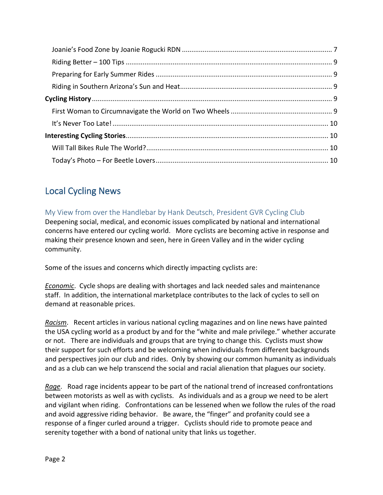### <span id="page-1-0"></span>Local Cycling News

<span id="page-1-1"></span>My View from over the Handlebar by Hank Deutsch, President GVR Cycling Club Deepening social, medical, and economic issues complicated by national and international concerns have entered our cycling world. More cyclists are becoming active in response and making their presence known and seen, here in Green Valley and in the wider cycling community.

Some of the issues and concerns which directly impacting cyclists are:

*Economic*. Cycle shops are dealing with shortages and lack needed sales and maintenance staff. In addition, the international marketplace contributes to the lack of cycles to sell on demand at reasonable prices.

*Racism*. Recent articles in various national cycling magazines and on line news have painted the USA cycling world as a product by and for the "white and male privilege." whether accurate or not. There are individuals and groups that are trying to change this. Cyclists must show their support for such efforts and be welcoming when individuals from different backgrounds and perspectives join our club and rides. Only by showing our common humanity as individuals and as a club can we help transcend the social and racial alienation that plagues our society.

*Rage*. Road rage incidents appear to be part of the national trend of increased confrontations between motorists as well as with cyclists. As individuals and as a group we need to be alert and vigilant when riding. Confrontations can be lessened when we follow the rules of the road and avoid aggressive riding behavior. Be aware, the "finger" and profanity could see a response of a finger curled around a trigger. Cyclists should ride to promote peace and serenity together with a bond of national unity that links us together.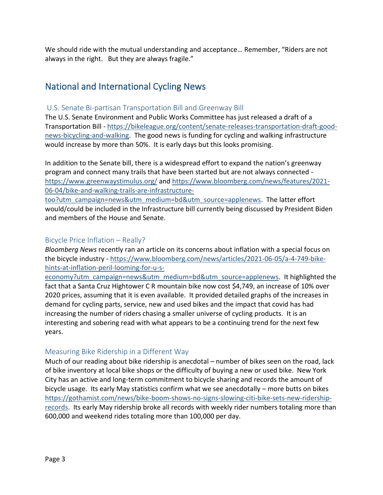We should ride with the mutual understanding and acceptance… Remember, "Riders are not always in the right. But they are always fragile."

### <span id="page-2-0"></span>National and International Cycling News

#### <span id="page-2-1"></span>U.S. Senate Bi-partisan Transportation Bill and Greenway Bill

The U.S. Senate Environment and Public Works Committee has just released a draft of a Transportation Bill - [https://bikeleague.org/content/senate-releases-transportation-draft-good](https://bikeleague.org/content/senate-releases-transportation-draft-good-news-bicycling-and-walking)[news-bicycling-and-walking.](https://bikeleague.org/content/senate-releases-transportation-draft-good-news-bicycling-and-walking) The good news is funding for cycling and walking infrastructure would increase by more than 50%. It is early days but this looks promising.

In addition to the Senate bill, there is a widespread effort to expand the nation's greenway program and connect many trails that have been started but are not always connected <https://www.greenwaystimulus.org/> and [https://www.bloomberg.com/news/features/2021-](https://www.bloomberg.com/news/features/2021-06-04/bike-and-walking-trails-are-infrastructure-too?utm_campaign=news&utm_medium=bd&utm_source=applenews) [06-04/bike-and-walking-trails-are-infrastructure-](https://www.bloomberg.com/news/features/2021-06-04/bike-and-walking-trails-are-infrastructure-too?utm_campaign=news&utm_medium=bd&utm_source=applenews)

[too?utm\\_campaign=news&utm\\_medium=bd&utm\\_source=applenews.](https://www.bloomberg.com/news/features/2021-06-04/bike-and-walking-trails-are-infrastructure-too?utm_campaign=news&utm_medium=bd&utm_source=applenews) The latter effort would/could be included in the Infrastructure bill currently being discussed by President Biden and members of the House and Senate.

#### <span id="page-2-2"></span>Bicycle Price Inflation – Really?

*Bloomberg News* recently ran an article on its concerns about inflation with a special focus on the bicycle industry - [https://www.bloomberg.com/news/articles/2021-06-05/a-4-749-bike](https://www.bloomberg.com/news/articles/2021-06-05/a-4-749-bike-hints-at-inflation-peril-looming-for-u-s-economy?utm_campaign=news&utm_medium=bd&utm_source=applenews)[hints-at-inflation-peril-looming-for-u-s-](https://www.bloomberg.com/news/articles/2021-06-05/a-4-749-bike-hints-at-inflation-peril-looming-for-u-s-economy?utm_campaign=news&utm_medium=bd&utm_source=applenews)

[economy?utm\\_campaign=news&utm\\_medium=bd&utm\\_source=applenews.](https://www.bloomberg.com/news/articles/2021-06-05/a-4-749-bike-hints-at-inflation-peril-looming-for-u-s-economy?utm_campaign=news&utm_medium=bd&utm_source=applenews) It highlighted the fact that a Santa Cruz Hightower C R mountain bike now cost \$4,749, an increase of 10% over 2020 prices, assuming that it is even available. It provided detailed graphs of the increases in demand for cycling parts, service, new and used bikes and the impact that covid has had increasing the number of riders chasing a smaller universe of cycling products. It is an interesting and sobering read with what appears to be a continuing trend for the next few years.

#### <span id="page-2-3"></span>Measuring Bike Ridership in a Different Way

Much of our reading about bike ridership is anecdotal – number of bikes seen on the road, lack of bike inventory at local bike shops or the difficulty of buying a new or used bike. New York City has an active and long-term commitment to bicycle sharing and records the amount of bicycle usage. Its early May statistics confirm what we see anecdotally – more butts on bikes [https://gothamist.com/news/bike-boom-shows-no-signs-slowing-citi-bike-sets-new-ridership](https://gothamist.com/news/bike-boom-shows-no-signs-slowing-citi-bike-sets-new-ridership-records)[records.](https://gothamist.com/news/bike-boom-shows-no-signs-slowing-citi-bike-sets-new-ridership-records) Its early May ridership broke all records with weekly rider numbers totaling more than 600,000 and weekend rides totaling more than 100,000 per day.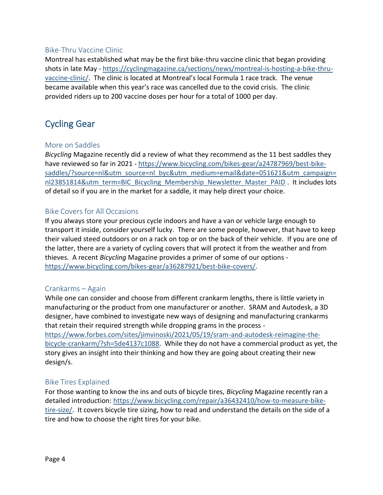#### <span id="page-3-0"></span>Bike-Thru Vaccine Clinic

Montreal has established what may be the first bike-thru vaccine clinic that began providing shots in late May - [https://cyclingmagazine.ca/sections/news/montreal-is-hosting-a-bike-thru](https://cyclingmagazine.ca/sections/news/montreal-is-hosting-a-bike-thru-vaccine-clinic/)[vaccine-clinic/](https://cyclingmagazine.ca/sections/news/montreal-is-hosting-a-bike-thru-vaccine-clinic/). The clinic is located at Montreal's local Formula 1 race track. The venue became available when this year's race was cancelled due to the covid crisis. The clinic provided riders up to 200 vaccine doses per hour for a total of 1000 per day.

### <span id="page-3-1"></span>Cycling Gear

#### <span id="page-3-2"></span>More on Saddles

*Bicycling* Magazine recently did a review of what they recommend as the 11 best saddles they have reviewed so far in 2021 - [https://www.bicycling.com/bikes-gear/a24787969/best-bike](https://www.bicycling.com/bikes-gear/a24787969/best-bike-saddles/?source=nl&utm_source=nl_byc&utm_medium=email&date=051621&utm_campaign=nl23851814&utm_term=BIC_Bicycling_Membership_Newsletter_Master_PAID)[saddles/?source=nl&utm\\_source=nl\\_byc&utm\\_medium=email&date=051621&utm\\_campaign=](https://www.bicycling.com/bikes-gear/a24787969/best-bike-saddles/?source=nl&utm_source=nl_byc&utm_medium=email&date=051621&utm_campaign=nl23851814&utm_term=BIC_Bicycling_Membership_Newsletter_Master_PAID) [nl23851814&utm\\_term=BIC\\_Bicycling\\_Membership\\_Newsletter\\_Master\\_PAID](https://www.bicycling.com/bikes-gear/a24787969/best-bike-saddles/?source=nl&utm_source=nl_byc&utm_medium=email&date=051621&utm_campaign=nl23851814&utm_term=BIC_Bicycling_Membership_Newsletter_Master_PAID) . It includes lots of detail so if you are in the market for a saddle, it may help direct your choice.

#### <span id="page-3-3"></span>Bike Covers for All Occasions

If you always store your precious cycle indoors and have a van or vehicle large enough to transport it inside, consider yourself lucky. There are some people, however, that have to keep their valued steed outdoors or on a rack on top or on the back of their vehicle. If you are one of the latter, there are a variety of cycling covers that will protect it from the weather and from thieves. A recent *Bicycling* Magazine provides a primer of some of our options [https://www.bicycling.com/bikes-gear/a36287921/best-bike-covers/.](https://www.bicycling.com/bikes-gear/a36287921/best-bike-covers/)

#### <span id="page-3-4"></span>Crankarms – Again

While one can consider and choose from different crankarm lengths, there is little variety in manufacturing or the product from one manufacturer or another. SRAM and Autodesk, a 3D designer, have combined to investigate new ways of designing and manufacturing crankarms that retain their required strength while dropping grams in the process [https://www.forbes.com/sites/jimvinoski/2021/05/19/sram-and-autodesk-reimagine-the](https://www.forbes.com/sites/jimvinoski/2021/05/19/sram-and-autodesk-reimagine-the-bicycle-crankarm/?sh=5de4137c1088)[bicycle-crankarm/?sh=5de4137c1088.](https://www.forbes.com/sites/jimvinoski/2021/05/19/sram-and-autodesk-reimagine-the-bicycle-crankarm/?sh=5de4137c1088) While they do not have a commercial product as yet, the story gives an insight into their thinking and how they are going about creating their new design/s.

#### <span id="page-3-5"></span>Bike Tires Explained

For those wanting to know the ins and outs of bicycle tires, *Bicycling* Magazine recently ran a detailed introduction: [https://www.bicycling.com/repair/a36432410/how-to-measure-bike](https://www.bicycling.com/repair/a36432410/how-to-measure-bike-tire-size/)[tire-size/.](https://www.bicycling.com/repair/a36432410/how-to-measure-bike-tire-size/) It covers bicycle tire sizing, how to read and understand the details on the side of a tire and how to choose the right tires for your bike.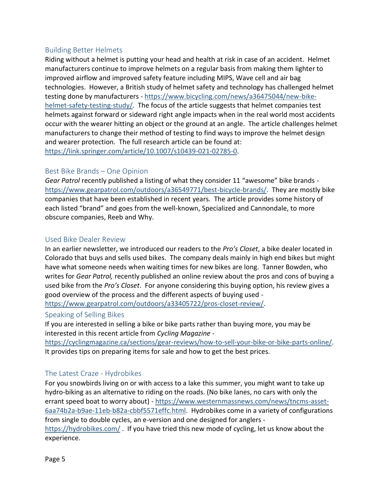#### <span id="page-4-0"></span>Building Better Helmets

Riding without a helmet is putting your head and health at risk in case of an accident. Helmet manufacturers continue to improve helmets on a regular basis from making them lighter to improved airflow and improved safety feature including MIPS, Wave cell and air bag technologies. However, a British study of helmet safety and technology has challenged helmet testing done by manufacturers - [https://www.bicycling.com/news/a36475044/new-bike](https://www.bicycling.com/news/a36475044/new-bike-helmet-safety-testing-study/)[helmet-safety-testing-study/.](https://www.bicycling.com/news/a36475044/new-bike-helmet-safety-testing-study/) The focus of the article suggests that helmet companies test helmets against forward or sideward right angle impacts when in the real world most accidents occur with the wearer hitting an object or the ground at an angle. The article challenges helmet manufacturers to change their method of testing to find ways to improve the helmet design and wearer protection. The full research article can be found at: [https://link.springer.com/article/10.1007/s10439-021-02785-0.](https://link.springer.com/article/10.1007/s10439-021-02785-0)

#### <span id="page-4-1"></span>Best Bike Brands – One Opinion

*Gear Patrol* recently published a listing of what they consider 11 "awesome" bike brands [https://www.gearpatrol.com/outdoors/a36549771/best-bicycle-brands/.](https://www.gearpatrol.com/outdoors/a36549771/best-bicycle-brands/) They are mostly bike companies that have been established in recent years. The article provides some history of each listed "brand" and goes from the well-known, Specialized and Cannondale, to more obscure companies, Reeb and Why.

#### <span id="page-4-2"></span>Used Bike Dealer Review

In an earlier newsletter, we introduced our readers to the *Pro's Closet*, a bike dealer located in Colorado that buys and sells used bikes. The company deals mainly in high end bikes but might have what someone needs when waiting times for new bikes are long. Tanner Bowden, who writes for *Gear Patrol,* recently published an online review about the pros and cons of buying a used bike from the *Pro's Closet*. For anyone considering this buying option, his review gives a good overview of the process and the different aspects of buying used -

[https://www.gearpatrol.com/outdoors/a33405722/pros-closet-review/.](https://www.gearpatrol.com/outdoors/a33405722/pros-closet-review/)

#### <span id="page-4-3"></span>Speaking of Selling Bikes

If you are interested in selling a bike or bike parts rather than buying more, you may be interested in this recent article from *Cycling Magazine -*

[https://cyclingmagazine.ca/sections/gear-reviews/how-to-sell-your-bike-or-bike-parts-online/.](https://cyclingmagazine.ca/sections/gear-reviews/how-to-sell-your-bike-or-bike-parts-online/) It provides tips on preparing items for sale and how to get the best prices.

#### <span id="page-4-4"></span>The Latest Craze - Hydrobikes

For you snowbirds living on or with access to a lake this summer, you might want to take up hydro-biking as an alternative to riding on the roads. (No bike lanes, no cars with only the errant speed boat to worry about) - [https://www.westernmassnews.com/news/tncms-asset-](https://www.westernmassnews.com/news/tncms-asset-6aa74b2a-b9ae-11eb-b82a-cbbf5571effc.html)[6aa74b2a-b9ae-11eb-b82a-cbbf5571effc.html.](https://www.westernmassnews.com/news/tncms-asset-6aa74b2a-b9ae-11eb-b82a-cbbf5571effc.html) Hydrobikes come in a variety of configurations from single to double cycles, an e-version and one designed for anglers <https://hydrobikes.com/>. If you have tried this new mode of cycling, let us know about the experience.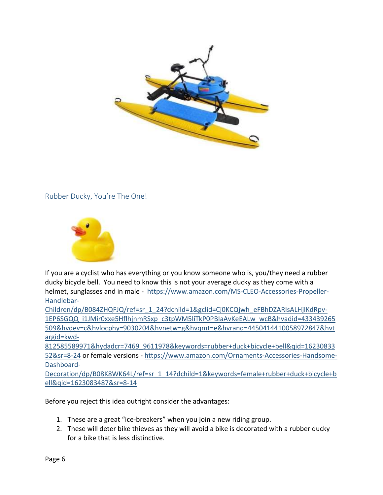

<span id="page-5-0"></span>Rubber Ducky, You're The One!



If you are a cyclist who has everything or you know someone who is, you/they need a rubber ducky bicycle bell. You need to know this is not your average ducky as they come with a helmet, sunglasses and in male - [https://www.amazon.com/MS-CLEO-Accessories-Propeller-](https://www.amazon.com/MS-CLEO-Accessories-Propeller-Handlebar-Children/dp/B084ZHQFJQ/ref=sr_1_24?dchild=1&gclid=Cj0KCQjwh_eFBhDZARIsALHjIKdRpv-1EP6SGQQ_i1JMir0xxe5HflhjnmRSxp_c3tpWM5liTkP0PBIaAvKeEALw_wcB&hvadid=433439265509&hvdev=c&hvlocphy=9030204&hvnetw=g&hvqmt=e&hvrand=4450414410058972847&hvtargid=kwd-812585589971&hydadcr=7469_9611978&keywords=rubber+duck+bicycle+bell&qid=1623083352&sr=8-24)[Handlebar-](https://www.amazon.com/MS-CLEO-Accessories-Propeller-Handlebar-Children/dp/B084ZHQFJQ/ref=sr_1_24?dchild=1&gclid=Cj0KCQjwh_eFBhDZARIsALHjIKdRpv-1EP6SGQQ_i1JMir0xxe5HflhjnmRSxp_c3tpWM5liTkP0PBIaAvKeEALw_wcB&hvadid=433439265509&hvdev=c&hvlocphy=9030204&hvnetw=g&hvqmt=e&hvrand=4450414410058972847&hvtargid=kwd-812585589971&hydadcr=7469_9611978&keywords=rubber+duck+bicycle+bell&qid=1623083352&sr=8-24)

[Children/dp/B084ZHQFJQ/ref=sr\\_1\\_24?dchild=1&gclid=Cj0KCQjwh\\_eFBhDZARIsALHjIKdRpv-](https://www.amazon.com/MS-CLEO-Accessories-Propeller-Handlebar-Children/dp/B084ZHQFJQ/ref=sr_1_24?dchild=1&gclid=Cj0KCQjwh_eFBhDZARIsALHjIKdRpv-1EP6SGQQ_i1JMir0xxe5HflhjnmRSxp_c3tpWM5liTkP0PBIaAvKeEALw_wcB&hvadid=433439265509&hvdev=c&hvlocphy=9030204&hvnetw=g&hvqmt=e&hvrand=4450414410058972847&hvtargid=kwd-812585589971&hydadcr=7469_9611978&keywords=rubber+duck+bicycle+bell&qid=1623083352&sr=8-24)[1EP6SGQQ\\_i1JMir0xxe5HflhjnmRSxp\\_c3tpWM5liTkP0PBIaAvKeEALw\\_wcB&hvadid=433439265](https://www.amazon.com/MS-CLEO-Accessories-Propeller-Handlebar-Children/dp/B084ZHQFJQ/ref=sr_1_24?dchild=1&gclid=Cj0KCQjwh_eFBhDZARIsALHjIKdRpv-1EP6SGQQ_i1JMir0xxe5HflhjnmRSxp_c3tpWM5liTkP0PBIaAvKeEALw_wcB&hvadid=433439265509&hvdev=c&hvlocphy=9030204&hvnetw=g&hvqmt=e&hvrand=4450414410058972847&hvtargid=kwd-812585589971&hydadcr=7469_9611978&keywords=rubber+duck+bicycle+bell&qid=1623083352&sr=8-24) [509&hvdev=c&hvlocphy=9030204&hvnetw=g&hvqmt=e&hvrand=4450414410058972847&hvt](https://www.amazon.com/MS-CLEO-Accessories-Propeller-Handlebar-Children/dp/B084ZHQFJQ/ref=sr_1_24?dchild=1&gclid=Cj0KCQjwh_eFBhDZARIsALHjIKdRpv-1EP6SGQQ_i1JMir0xxe5HflhjnmRSxp_c3tpWM5liTkP0PBIaAvKeEALw_wcB&hvadid=433439265509&hvdev=c&hvlocphy=9030204&hvnetw=g&hvqmt=e&hvrand=4450414410058972847&hvtargid=kwd-812585589971&hydadcr=7469_9611978&keywords=rubber+duck+bicycle+bell&qid=1623083352&sr=8-24) [argid=kwd-](https://www.amazon.com/MS-CLEO-Accessories-Propeller-Handlebar-Children/dp/B084ZHQFJQ/ref=sr_1_24?dchild=1&gclid=Cj0KCQjwh_eFBhDZARIsALHjIKdRpv-1EP6SGQQ_i1JMir0xxe5HflhjnmRSxp_c3tpWM5liTkP0PBIaAvKeEALw_wcB&hvadid=433439265509&hvdev=c&hvlocphy=9030204&hvnetw=g&hvqmt=e&hvrand=4450414410058972847&hvtargid=kwd-812585589971&hydadcr=7469_9611978&keywords=rubber+duck+bicycle+bell&qid=1623083352&sr=8-24)

[812585589971&hydadcr=7469\\_9611978&keywords=rubber+duck+bicycle+bell&qid=16230833](https://www.amazon.com/MS-CLEO-Accessories-Propeller-Handlebar-Children/dp/B084ZHQFJQ/ref=sr_1_24?dchild=1&gclid=Cj0KCQjwh_eFBhDZARIsALHjIKdRpv-1EP6SGQQ_i1JMir0xxe5HflhjnmRSxp_c3tpWM5liTkP0PBIaAvKeEALw_wcB&hvadid=433439265509&hvdev=c&hvlocphy=9030204&hvnetw=g&hvqmt=e&hvrand=4450414410058972847&hvtargid=kwd-812585589971&hydadcr=7469_9611978&keywords=rubber+duck+bicycle+bell&qid=1623083352&sr=8-24) [52&sr=8-24](https://www.amazon.com/MS-CLEO-Accessories-Propeller-Handlebar-Children/dp/B084ZHQFJQ/ref=sr_1_24?dchild=1&gclid=Cj0KCQjwh_eFBhDZARIsALHjIKdRpv-1EP6SGQQ_i1JMir0xxe5HflhjnmRSxp_c3tpWM5liTkP0PBIaAvKeEALw_wcB&hvadid=433439265509&hvdev=c&hvlocphy=9030204&hvnetw=g&hvqmt=e&hvrand=4450414410058972847&hvtargid=kwd-812585589971&hydadcr=7469_9611978&keywords=rubber+duck+bicycle+bell&qid=1623083352&sr=8-24) or female versions - [https://www.amazon.com/Ornaments-Accessories-Handsome-](https://www.amazon.com/Ornaments-Accessories-Handsome-Dashboard-Decoration/dp/B08K8WK64L/ref=sr_1_14?dchild=1&keywords=female+rubber+duck+bicycle+bell&qid=1623083487&sr=8-14)[Dashboard-](https://www.amazon.com/Ornaments-Accessories-Handsome-Dashboard-Decoration/dp/B08K8WK64L/ref=sr_1_14?dchild=1&keywords=female+rubber+duck+bicycle+bell&qid=1623083487&sr=8-14)

[Decoration/dp/B08K8WK64L/ref=sr\\_1\\_14?dchild=1&keywords=female+rubber+duck+bicycle+b](https://www.amazon.com/Ornaments-Accessories-Handsome-Dashboard-Decoration/dp/B08K8WK64L/ref=sr_1_14?dchild=1&keywords=female+rubber+duck+bicycle+bell&qid=1623083487&sr=8-14) [ell&qid=1623083487&sr=8-14](https://www.amazon.com/Ornaments-Accessories-Handsome-Dashboard-Decoration/dp/B08K8WK64L/ref=sr_1_14?dchild=1&keywords=female+rubber+duck+bicycle+bell&qid=1623083487&sr=8-14)

Before you reject this idea outright consider the advantages:

- 1. These are a great "ice-breakers" when you join a new riding group.
- 2. These will deter bike thieves as they will avoid a bike is decorated with a rubber ducky for a bike that is less distinctive.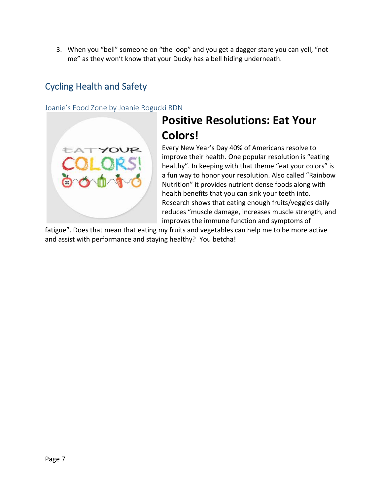3. When you "bell" someone on "the loop" and you get a dagger stare you can yell, "not me" as they won't know that your Ducky has a bell hiding underneath.

### <span id="page-6-0"></span>Cycling Health and Safety

<span id="page-6-1"></span>Joanie's Food Zone by Joanie Rogucki RDN



## **Positive Resolutions: Eat Your Colors!**

Every New Year's Day 40% of Americans resolve to improve their health. One popular resolution is "eating healthy". In keeping with that theme "eat your colors" is a fun way to honor your resolution. Also called "Rainbow Nutrition" it provides nutrient dense foods along with health benefits that you can sink your teeth into. Research shows that eating enough fruits/veggies daily reduces "muscle damage, increases muscle strength, and improves the immune function and symptoms of

fatigue". Does that mean that eating my fruits and vegetables can help me to be more active and assist with performance and staying healthy? You betcha!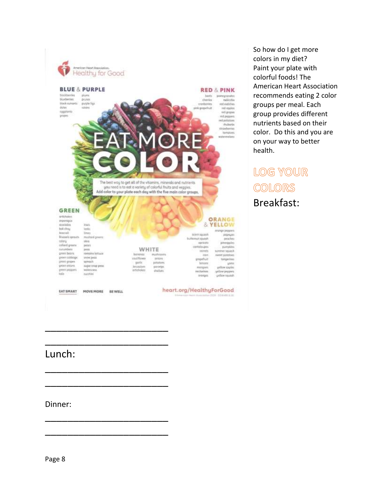

So how do I get more colors in my diet? Paint your plate with colorful foods! The American Heart Association recommends eating 2 color groups per meal. Each group provides different nutrients based on their color. Do this and you are on your way to better health.

LOG YOUR COLORS Breakfast:

### Lunch:

\_\_\_\_\_\_\_\_\_\_\_\_\_\_\_\_\_\_\_\_\_\_

\_\_\_\_\_\_\_\_\_\_\_\_\_\_\_\_\_\_\_\_\_\_

\_\_\_\_\_\_\_\_\_\_\_\_\_\_\_\_\_\_\_\_\_\_

\_\_\_\_\_\_\_\_\_\_\_\_\_\_\_\_\_\_\_\_\_\_

\_\_\_\_\_\_\_\_\_\_\_\_\_\_\_\_\_\_\_\_\_\_

\_\_\_\_\_\_\_\_\_\_\_\_\_\_\_\_\_\_\_\_\_\_

Dinner: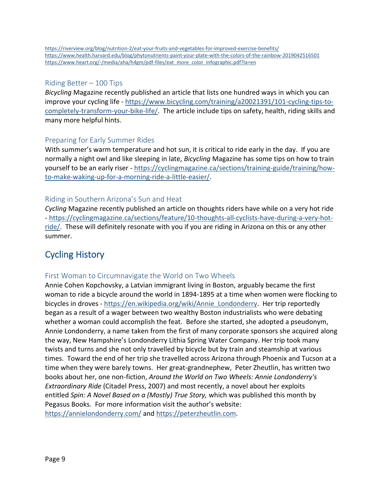#### <span id="page-8-0"></span>Riding Better – 100 Tips

*Bicycling* Magazine recently published an article that lists one hundred ways in which you can improve your cycling life - [https://www.bicycling.com/training/a20021391/101-cycling-tips-to](https://www.bicycling.com/training/a20021391/101-cycling-tips-to-completely-transform-your-bike-life/)[completely-transform-your-bike-life/.](https://www.bicycling.com/training/a20021391/101-cycling-tips-to-completely-transform-your-bike-life/) The article include tips on safety, health, riding skills and many more helpful hints.

#### <span id="page-8-1"></span>Preparing for Early Summer Rides

With summer's warm temperature and hot sun, it is critical to ride early in the day. If you are normally a night owl and like sleeping in late, *Bicycling* Magazine has some tips on how to train yourself to be an early riser - [https://cyclingmagazine.ca/sections/training-guide/training/how](https://cyclingmagazine.ca/sections/training-guide/training/how-to-make-waking-up-for-a-morning-ride-a-little-easier/)[to-make-waking-up-for-a-morning-ride-a-little-easier/.](https://cyclingmagazine.ca/sections/training-guide/training/how-to-make-waking-up-for-a-morning-ride-a-little-easier/)

#### <span id="page-8-2"></span>Riding in Southern Arizona's Sun and Heat

*Cycling* Magazine recently published an article on thoughts riders have while on a very hot ride - [https://cyclingmagazine.ca/sections/feature/10-thoughts-all-cyclists-have-during-a-very-hot](https://cyclingmagazine.ca/sections/feature/10-thoughts-all-cyclists-have-during-a-very-hot-ride/)[ride/.](https://cyclingmagazine.ca/sections/feature/10-thoughts-all-cyclists-have-during-a-very-hot-ride/) These will definitely resonate with you if you are riding in Arizona on this or any other summer.

### <span id="page-8-3"></span>Cycling History

#### <span id="page-8-4"></span>First Woman to Circumnavigate the World on Two Wheels

Annie Cohen Kopchovsky, a Latvian immigrant living in Boston, arguably became the first woman to ride a bicycle around the world in 1894-1895 at a time when women were flocking to bicycles in droves - [https://en.wikipedia.org/wiki/Annie\\_Londonderry.](https://nam10.safelinks.protection.outlook.com/?url=https%3A%2F%2Fen.wikipedia.org%2Fwiki%2FAnnie_Londonderry&data=04%7C01%7C%7Ceb8827066cd940c28bfe08d91662bebd%7C17f1a87e2a254eaab9df9d439034b080%7C0%7C0%7C637565435636106363%7CUnknown%7CTWFpbGZsb3d8eyJWIjoiMC4wLjAwMDAiLCJQIjoiV2luMzIiLCJBTiI6Ik1haWwiLCJXVCI6Mn0%3D%7C1000&sdata=OBVKQrwAn2wa7z504w1V2vjmgQZZ0R282vO6LJ290mM%3D&reserved=0) Her trip reportedly began as a result of a wager between two wealthy Boston industrialists who were debating whether a woman could accomplish the feat. Before she started, she adopted a pseudonym, Annie Londonderry, a name taken from the first of many corporate sponsors she acquired along the way, New Hampshire's Londonderry Lithia Spring Water Company. Her trip took many twists and turns and she not only travelled by bicycle but by train and steamship at various times. Toward the end of her trip she travelled across Arizona through Phoenix and Tucson at a time when they were barely towns. Her great-grandnephew, Peter Zheutlin, has written two books about her, one non-fiction, *Around the World on Two Wheels: Annie Londonderry's Extraordinary Ride* (Citadel Press, 2007) and most recently, a novel about her exploits entitled *Spin: A Novel Based on a (Mostly) True Story,* which was published this month by Pegasus Books. For more information visit the author's website: [https://annielondonderry.com/](https://nam10.safelinks.protection.outlook.com/?url=https%3A%2F%2Fannielondonderry.com%2F&data=04%7C01%7C%7Ceb8827066cd940c28bfe08d91662bebd%7C17f1a87e2a254eaab9df9d439034b080%7C0%7C0%7C637565435636116262%7CUnknown%7CTWFpbGZsb3d8eyJWIjoiMC4wLjAwMDAiLCJQIjoiV2luMzIiLCJBTiI6Ik1haWwiLCJXVCI6Mn0%3D%7C1000&sdata=kHZYUEy2PtgP%2FWpz9gxYiO6xPATrgqsHy0LPT9fZi34%3D&reserved=0) and [https://peterzheutlin.com.](https://nam10.safelinks.protection.outlook.com/?url=https%3A%2F%2Fpeterzheutlin.com%2F&data=04%7C01%7C%7Ceb8827066cd940c28bfe08d91662bebd%7C17f1a87e2a254eaab9df9d439034b080%7C0%7C0%7C637565435636116262%7CUnknown%7CTWFpbGZsb3d8eyJWIjoiMC4wLjAwMDAiLCJQIjoiV2luMzIiLCJBTiI6Ik1haWwiLCJXVCI6Mn0%3D%7C1000&sdata=NjBdJb48jBUKMoW0V%2FMz5pwcZkctQWz6cLzCIDvKVIE%3D&reserved=0)